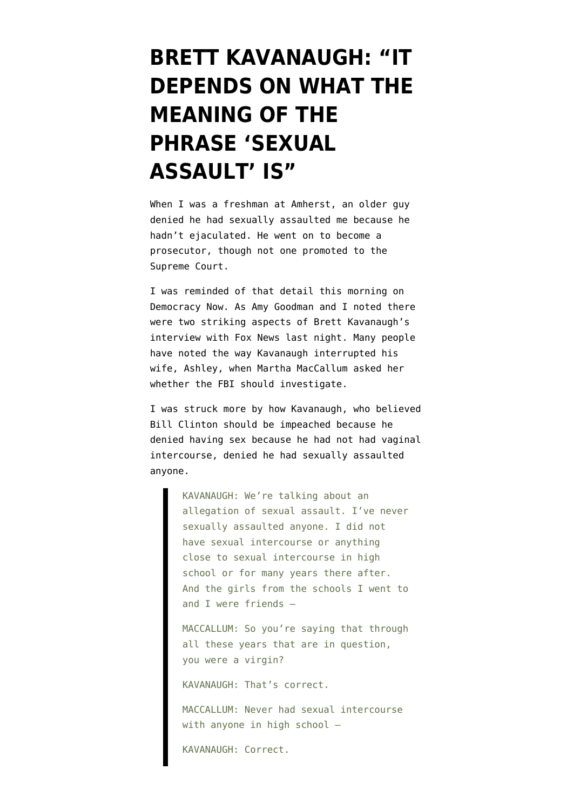## **[BRETT KAVANAUGH: "IT](https://www.emptywheel.net/2018/09/25/brett-kavanaugh-it-depends-on-what-the-meaning-of-the-phrase-sexual-assault-is/) [DEPENDS ON WHAT THE](https://www.emptywheel.net/2018/09/25/brett-kavanaugh-it-depends-on-what-the-meaning-of-the-phrase-sexual-assault-is/) [MEANING OF THE](https://www.emptywheel.net/2018/09/25/brett-kavanaugh-it-depends-on-what-the-meaning-of-the-phrase-sexual-assault-is/) [PHRASE 'SEXUAL](https://www.emptywheel.net/2018/09/25/brett-kavanaugh-it-depends-on-what-the-meaning-of-the-phrase-sexual-assault-is/) [ASSAULT' IS"](https://www.emptywheel.net/2018/09/25/brett-kavanaugh-it-depends-on-what-the-meaning-of-the-phrase-sexual-assault-is/)**

When I was a freshman at Amherst, an older guy denied he had sexually assaulted me because he hadn't ejaculated. He went on to become a prosecutor, though not one promoted to the Supreme Court.

I was reminded of that detail this morning on [Democracy Now](https://www.democracynow.org/2018/9/25/marcy_wheeler_rosensteins_ouster_would_not). As Amy Goodman and I noted there were two striking aspects of Brett Kavanaugh's interview with Fox News last night. Many people have noted the way Kavanaugh interrupted his wife, Ashley, when Martha MacCallum asked her whether the FBI should investigate.

I was struck more by how Kavanaugh, who believed Bill Clinton should be impeached because he denied having sex because he had not had vaginal intercourse, [denied](https://www.washingtonpost.com/politics/2018/09/24/brett-kavanaughs-fox-news-interview-transcript-annotated/) he had sexually assaulted anyone.

> KAVANAUGH: We're talking about an allegation of sexual assault. I've never sexually assaulted anyone. I did not have sexual intercourse or anything close to sexual intercourse in high school or for many years there after. And the girls from the schools I went to and I were friends —

> MACCALLUM: So you're saying that through all these years that are in question, you were a virgin?

KAVANAUGH: That's correct.

MACCALLUM: Never had sexual intercourse with anyone in high school -

KAVANAUGH: Correct.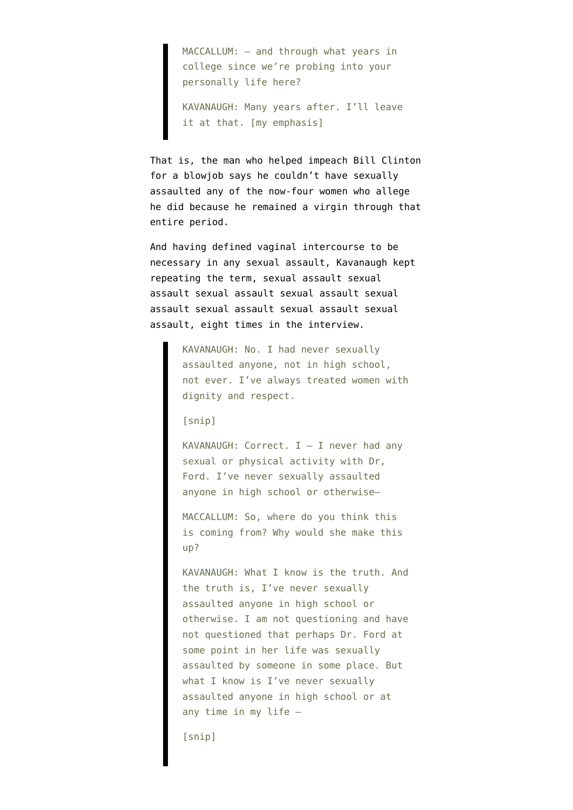MACCALLUM: – and through what years in college since we're probing into your personally life here?

KAVANAUGH: Many years after. I'll leave it at that. [my emphasis]

That is, the man who helped impeach Bill Clinton for a blowjob says he couldn't have sexually assaulted any of the now-four women who allege he did because he remained a virgin through that entire period.

And having defined vaginal intercourse to be necessary in any sexual assault, Kavanaugh kept repeating the term, sexual assault sexual assault sexual assault sexual assault sexual assault sexual assault sexual assault sexual assault, eight times in the interview.

> KAVANAUGH: No. I had never sexually assaulted anyone, not in high school, not ever. I've always treated women with dignity and respect.

[snip]

KAVANAUGH: Correct.  $I - I$  never had any sexual or physical activity with Dr, Ford. I've never sexually assaulted anyone in high school or otherwise—

MACCALLUM: So, where do you think this is coming from? Why would she make this up?

KAVANAUGH: What I know is the truth. And the truth is, I've never sexually assaulted anyone in high school or otherwise. I am not questioning and have not questioned that perhaps Dr. Ford at some point in her life was sexually assaulted by someone in some place. But what I know is I've never sexually assaulted anyone in high school or at any time in my life —

[snip]